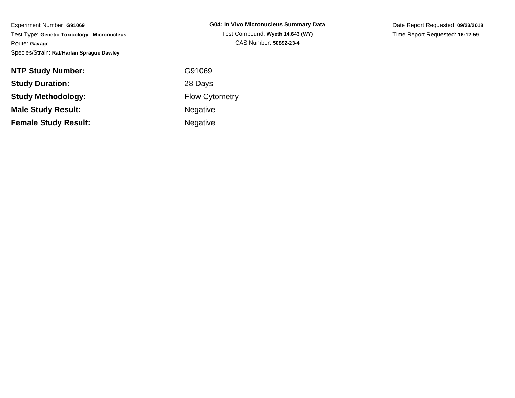Experiment Number: **G91069** Test Type: **Genetic Toxicology - Micronucleus**Route: **Gavage**Species/Strain: **Rat/Harlan Sprague Dawley**

| <b>NTP Study Number:</b>    | G91069           |
|-----------------------------|------------------|
| <b>Study Duration:</b>      | 28 Days          |
| <b>Study Methodology:</b>   | <b>Flow Cyto</b> |
| <b>Male Study Result:</b>   | <b>Negative</b>  |
| <b>Female Study Result:</b> | <b>Negative</b>  |

Date Report Requested: **09/23/2018**Time Report Requested: **16:12:59**

91069 Days w Cytometry gative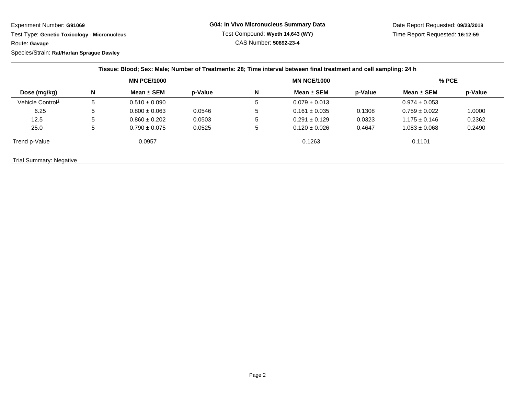## Experiment Number: **G91069**

 Test Type: **Genetic Toxicology - Micronucleus**Route: **Gavage**Species/Strain: **Rat/Harlan Sprague Dawley**

**G04: In Vivo Micronucleus Summary Data**Test Compound: **Wyeth 14,643 (WY)**CAS Number: **50892-23-4**

Date Report Requested: **09/23/2018**Time Report Requested: **16:12:59**

| Dose (mg/kg)                 | <b>MN PCE/1000</b> |                   |         | <b>MN NCE/1000</b> |                   |         | $%$ PCE           |         |
|------------------------------|--------------------|-------------------|---------|--------------------|-------------------|---------|-------------------|---------|
|                              | N                  | Mean $\pm$ SEM    | p-Value | N                  | Mean $\pm$ SEM    | p-Value | Mean $\pm$ SEM    | p-Value |
| Vehicle Control <sup>1</sup> | 5                  | $0.510 \pm 0.090$ |         | 5                  | $0.079 \pm 0.013$ |         | $0.974 \pm 0.053$ |         |
| 6.25                         | 5                  | $0.800 \pm 0.063$ | 0.0546  | 5                  | $0.161 \pm 0.035$ | 0.1308  | $0.759 \pm 0.022$ | 1.0000  |
| 12.5                         | 5                  | $0.860 \pm 0.202$ | 0.0503  | 5                  | $0.291 \pm 0.129$ | 0.0323  | $1.175 \pm 0.146$ | 0.2362  |
| 25.0                         | 5                  | $0.790 \pm 0.075$ | 0.0525  | 5                  | $0.120 \pm 0.026$ | 0.4647  | $1.083 \pm 0.068$ | 0.2490  |
| Trend p-Value                |                    | 0.0957            |         |                    | 0.1263            |         | 0.1101            |         |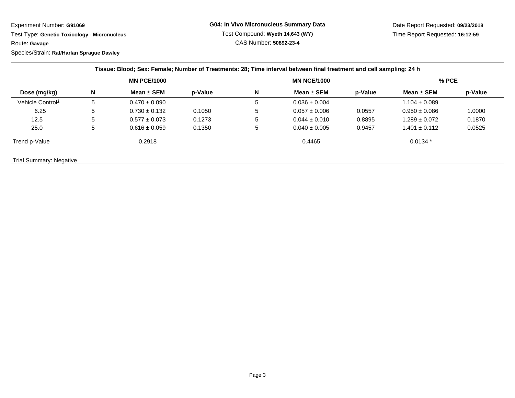Experiment Number: **G91069**

 Test Type: **Genetic Toxicology - Micronucleus**Route: **Gavage**Species/Strain: **Rat/Harlan Sprague Dawley**

**G04: In Vivo Micronucleus Summary Data**Test Compound: **Wyeth 14,643 (WY)**CAS Number: **50892-23-4**

Date Report Requested: **09/23/2018**Time Report Requested: **16:12:59**

| Dose (mg/kg)                 | <b>MN PCE/1000</b> |                   |         | <b>MN NCE/1000</b> |                   |         | $%$ PCE           |         |
|------------------------------|--------------------|-------------------|---------|--------------------|-------------------|---------|-------------------|---------|
|                              | N                  | Mean $\pm$ SEM    | p-Value | N                  | Mean $\pm$ SEM    | p-Value | Mean $\pm$ SEM    | p-Value |
| Vehicle Control <sup>1</sup> | b                  | $0.470 \pm 0.090$ |         | 5                  | $0.036 \pm 0.004$ |         | $1.104 \pm 0.089$ |         |
| 6.25                         | 5                  | $0.730 \pm 0.132$ | 0.1050  | .5                 | $0.057 \pm 0.006$ | 0.0557  | $0.950 \pm 0.086$ | 1.0000  |
| 12.5                         | 5                  | $0.577 \pm 0.073$ | 0.1273  | 5                  | $0.044 \pm 0.010$ | 0.8895  | $1.289 \pm 0.072$ | 0.1870  |
| 25.0                         | 5                  | $0.616 \pm 0.059$ | 0.1350  | 5                  | $0.040 \pm 0.005$ | 0.9457  | $1.401 \pm 0.112$ | 0.0525  |
| Trend p-Value                |                    | 0.2918            |         |                    | 0.4465            |         | $0.0134*$         |         |

Trial Summary: Negative